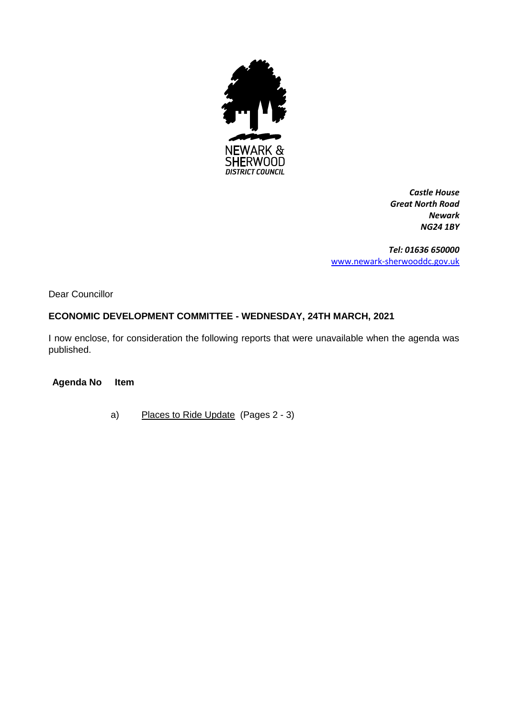

*Castle House Great North Road Newark NG24 1BY*

*Tel: 01636 650000* [www.newark-sherwooddc.gov.uk](http://www.newark-sherwooddc.gov.uk/)

Dear Councillor

# **ECONOMIC DEVELOPMENT COMMITTEE - WEDNESDAY, 24TH MARCH, 2021**

I now enclose, for consideration the following reports that were unavailable when the agenda was published.

**Agenda No Item**

a) Places to Ride Update (Pages 2 - 3)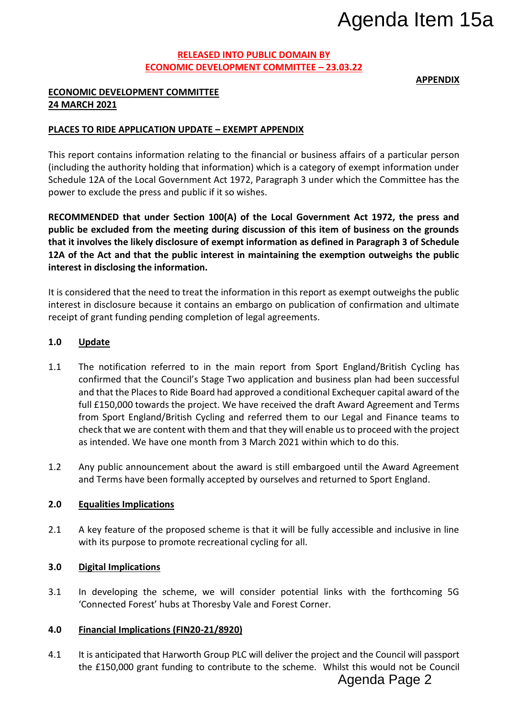# **RELEASED INTO PUBLIC DOMAIN BY ECONOMIC DEVELOPMENT COMMITTEE – 23.03.22**

**APPENDIX**

# **ECONOMIC DEVELOPMENT COMMITTEE 24 MARCH 2021**

# **PLACES TO RIDE APPLICATION UPDATE – EXEMPT APPENDIX**

This report contains information relating to the financial or business affairs of a particular person (including the authority holding that information) which is a category of exempt information under Schedule 12A of the Local Government Act 1972, Paragraph 3 under which the Committee has the power to exclude the press and public if it so wishes.

**RECOMMENDED that under Section 100(A) of the Local Government Act 1972, the press and public be excluded from the meeting during discussion of this item of business on the grounds that it involves the likely disclosure of exempt information as defined in Paragraph 3 of Schedule 12A of the Act and that the public interest in maintaining the exemption outweighs the public interest in disclosing the information.**

It is considered that the need to treat the information in this report as exempt outweighs the public interest in disclosure because it contains an embargo on publication of confirmation and ultimate receipt of grant funding pending completion of legal agreements.

## **1.0 Update**

- 1.1 The notification referred to in the main report from Sport England/British Cycling has confirmed that the Council's Stage Two application and business plan had been successful and that the Places to Ride Board had approved a conditional Exchequer capital award of the full £150,000 towards the project. We have received the draft Award Agreement and Terms from Sport England/British Cycling and referred them to our Legal and Finance teams to check that we are content with them and that they will enable us to proceed with the project as intended. We have one month from 3 March 2021 within which to do this. Agenda Item 15a<br>
<u>as.22</u><br> **Agenda Item 15a**<br> **Agent Constant Constant Constant Act 1972, the press and of business on the grounds<br>
of business on the grounds<br>
and Paragraph 3 of Schedule<br>
exempt outweighs the public<br>
exemp**
- 1.2 Any public announcement about the award is still embargoed until the Award Agreement and Terms have been formally accepted by ourselves and returned to Sport England.

#### **2.0 Equalities Implications**

2.1 A key feature of the proposed scheme is that it will be fully accessible and inclusive in line with its purpose to promote recreational cycling for all.

#### **3.0 Digital Implications**

3.1 In developing the scheme, we will consider potential links with the forthcoming 5G 'Connected Forest' hubs at Thoresby Vale and Forest Corner.

#### **4.0 Financial Implications (FIN20-21/8920)**

4.1 It is anticipated that Harworth Group PLC will deliver the project and the Council will passport the £150,000 grant funding to contribute to the scheme. Whilst this would not be Council